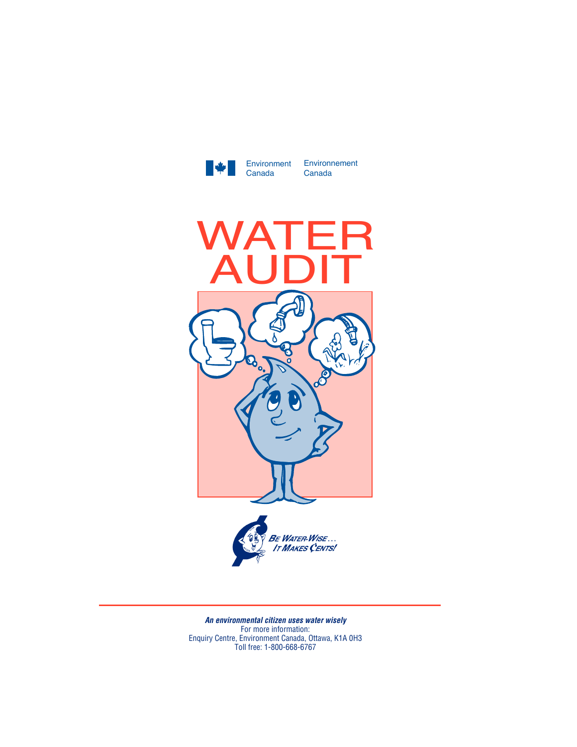

Environment Environnement Canada



*An environmental citizen uses water wisely* For more information: Enquiry Centre, Environment Canada, Ottawa, K1A 0H3 Toll free: 1-800-668-6767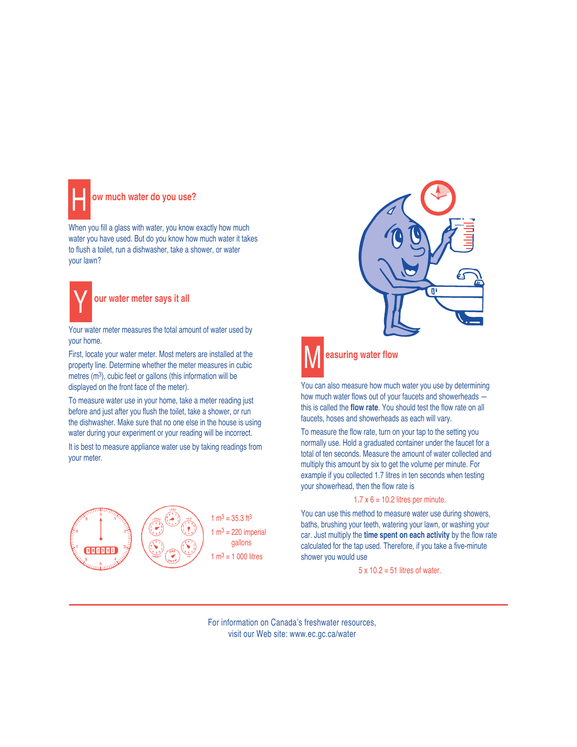

## **ow much water do you use?**

When you fill a glass with water, you know exactly how much water you have used. But do you know how much water it takes to flush a toilet, run a dishwasher, take a shower, or water your lawn?



Your water meter measures the total amount of water used by your home.

First, locate your water meter. Most meters are installed at the property line. Determine whether the meter measures in cubic metres (m3), cubic feet or gallons (this information will be displayed on the front face of the meter).

To measure water use in your home, take a meter reading just before and just after you flush the toilet, take a shower, or run the dishwasher. Make sure that no one else in the house is using water during your experiment or your reading will be incorrect.

It is best to measure appliance water use by taking readings from your meter.



 $1 \text{ m}^3 = 35.3 \text{ ft}^3$ 1  $m^3$  = 220 imperial gallons  $1 m<sup>3</sup> = 1 000$  litres





## **easuring water flow**

You can also measure how much water you use by determining how much water flows out of your faucets and showerheads this is called the **flow rate**. You should test the flow rate on all faucets, hoses and showerheads as each will vary.

To measure the flow rate, turn on your tap to the setting you normally use. Hold a graduated container under the faucet for a total of ten seconds. Measure the amount of water collected and multiply this amount by six to get the volume per minute. For example if you collected 1.7 litres in ten seconds when testing your showerhead, then the flow rate is

## $1.7 \times 6 = 10.2$  litres per minute.

You can use this method to measure water use during showers, baths, brushing your teeth, watering your lawn, or washing your car. Just multiply the **time spent on each activity** by the flow rate calculated for the tap used. Therefore, if you take a five-minute shower you would use

 $5 \times 10.2 = 51$  litres of water.

For information on Canada's freshwater resources, visit our Web site: www.ec.gc.ca/water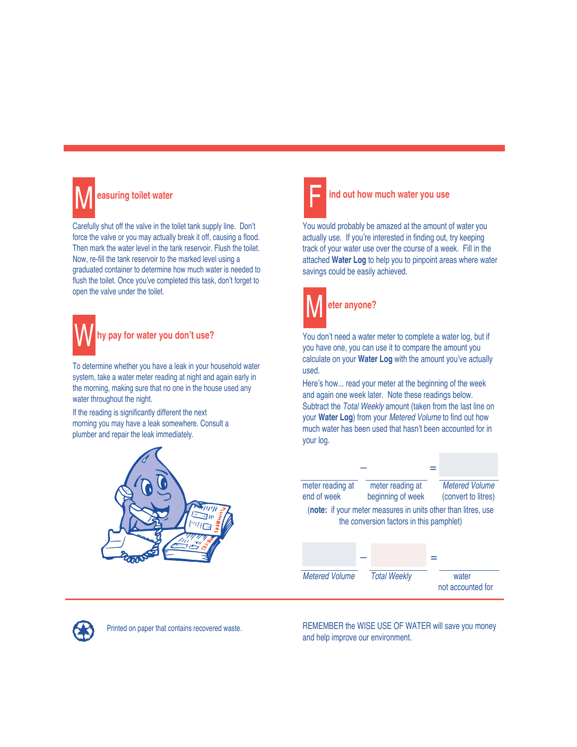

Carefully shut off the valve in the toilet tank supply line. Don't force the valve or you may actually break it off, causing a flood. Then mark the water level in the tank reservoir. Flush the toilet. Now, re-fill the tank reservoir to the marked level using a graduated container to determine how much water is needed to flush the toilet. Once you've completed this task, don't forget to open the valve under the toilet.



To determine whether you have a leak in your household water system, take a water meter reading at night and again early in the morning, making sure that no one in the house used any water throughout the night.

If the reading is significantly different the next morning you may have a leak somewhere. Consult a plumber and repair the leak immediately.





ind out how much water you use

You would probably be amazed at the amount of water you actually use. If you're interested in finding out, try keeping track of your water use over the course of a week. Fill in the attached **Water Log** to help you to pinpoint areas where water savings could be easily achieved.



You don't need a water meter to complete a water log, but if you have one, you can use it to compare the amount you

calculate on your **Water Log** with the amount you've actually used. Here's how... read your meter at the beginning of the week

and again one week later. Note these readings below. Subtract the *Total Weekly* amount (taken from the last line on your **Water Log**) from your *Metered Volume* to find out how much water has been used that hasn't been accounted for in your log.





Printed on paper that contains recovered waste.

REMEMBER the WISE USE OF WATER will save you money and help improve our environment.